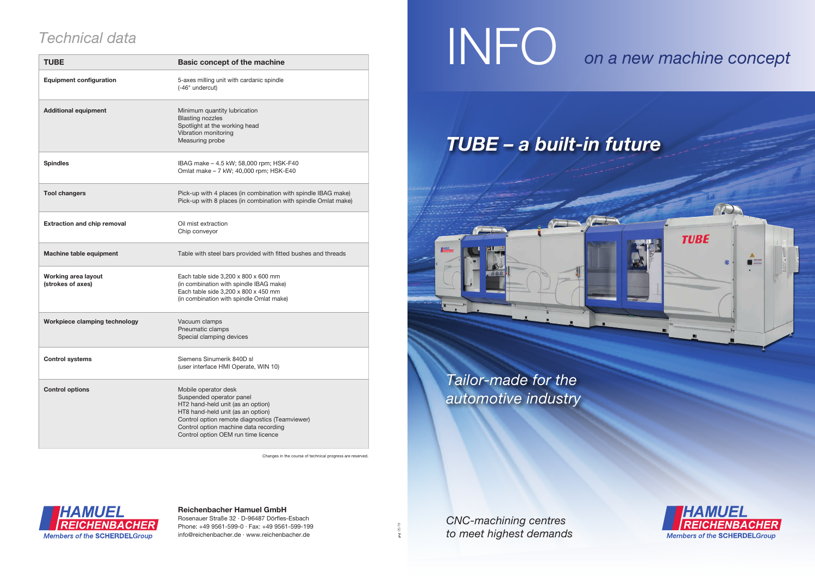*Tailor-made for the automotive industry* 



Changes in the course of technical progress are reserved.



| <b>Technical data</b>                    |                                                                                                                                                                                                                                                              | INFC                                  |
|------------------------------------------|--------------------------------------------------------------------------------------------------------------------------------------------------------------------------------------------------------------------------------------------------------------|---------------------------------------|
| <b>TUBE</b>                              | <b>Basic concept of the machine</b>                                                                                                                                                                                                                          |                                       |
| <b>Equipment configuration</b>           | 5-axes milling unit with cardanic spindle<br>(-46° undercut)                                                                                                                                                                                                 |                                       |
| <b>Additional equipment</b>              | Minimum quantity lubrication<br><b>Blasting nozzles</b><br>Spotlight at the working head<br>Vibration monitoring<br>Measuring probe                                                                                                                          | TUBE - a bu                           |
| <b>Spindles</b>                          | IBAG make - 4.5 kW; 58,000 rpm; HSK-F40<br>Omlat make - 7 kW; 40,000 rpm; HSK-E40                                                                                                                                                                            |                                       |
| <b>Tool changers</b>                     | Pick-up with 4 places (in combination with spindle IBAG make)<br>Pick-up with 8 places (in combination with spindle Omlat make)                                                                                                                              |                                       |
| <b>Extraction and chip removal</b>       | Oil mist extraction<br>Chip conveyor                                                                                                                                                                                                                         |                                       |
| <b>Machine table equipment</b>           | Table with steel bars provided with fitted bushes and threads                                                                                                                                                                                                |                                       |
| Working area layout<br>(strokes of axes) | Each table side 3,200 x 800 x 600 mm<br>(in combination with spindle IBAG make)<br>Each table side 3,200 x 800 x 450 mm<br>(in combination with spindle Omlat make)                                                                                          |                                       |
| Workpiece clamping technology            | Vacuum clamps<br>Pneumatic clamps<br>Special clamping devices                                                                                                                                                                                                |                                       |
| <b>Control systems</b>                   | Siemens Sinumerik 840D sl<br>(user interface HMI Operate, WIN 10)                                                                                                                                                                                            | Tailor-made for a<br>automotive indu. |
| <b>Control options</b>                   | Mobile operator desk<br>Suspended operator panel<br>HT2 hand-held unit (as an option)<br>HT8 hand-held unit (as an option)<br>Control option remote diagnostics (Teamviewer)<br>Control option machine data recording<br>Control option OEM run time licence |                                       |

## **Reichenbacher Hamuel GmbH**

Rosenauer Straße 32 · D-96487 Dörfles-Esbach Phone: +49 9561-599-0 · Fax: +49 9561-599-199 info@reichenbacher.de · www.reichenbacher.de

# *on a new machine concept*



*CNC-machining centres to meet highest demands*